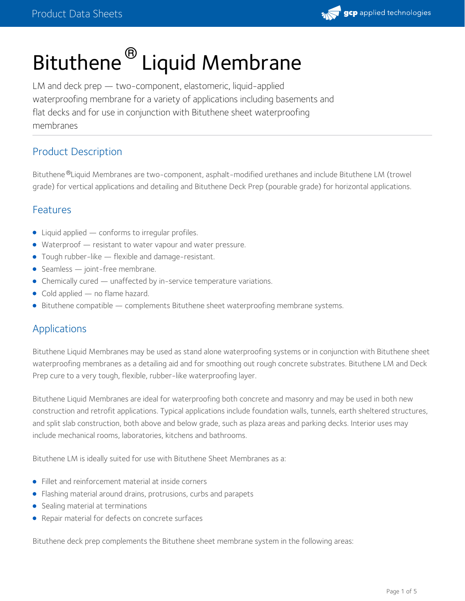

# Bituthene<sup>®</sup> Liquid Membrane

LM and deck prep — two-component, elastomeric, liquid-applied waterproofing membrane for a variety of applications including basements and flat decks and for use in conjunction with Bituthene sheet waterproofing membranes

## Product Description

Bituthene <sup>®</sup>Liquid Membranes are two-component, asphalt-modified urethanes and include Bituthene LM (trowel grade) for vertical applications and detailing and Bituthene Deck Prep (pourable grade) for horizontal applications.

## Features

- Liquid applied conforms to irregular profiles.
- Waterproof resistant to water vapour and water pressure.
- Tough rubber-like flexible and damage-resistant.
- Seamless joint-free membrane.
- Chemically cured unaffected by in-service temperature variations.
- Cold applied no flame hazard.
- **Bituthene compatible complements Bituthene sheet waterproofing membrane systems.**

## Applications

Bituthene Liquid Membranes may be used as stand alone waterproofing systems or in conjunction with Bituthene sheet waterproofing membranes as a detailing aid and for smoothing out rough concrete substrates. Bituthene LM and Deck Prep cure to a very tough, flexible, rubber-like waterproofing layer.

Bituthene Liquid Membranes are ideal for waterproofing both concrete and masonry and may be used in both new construction and retrofit applications. Typical applications include foundation walls, tunnels, earth sheltered structures, and split slab construction, both above and below grade, such as plaza areas and parking decks. Interior uses may include mechanical rooms, laboratories, kitchens and bathrooms.

Bituthene LM is ideally suited for use with Bituthene Sheet Membranes as a:

- Fillet and reinforcement material at inside corners
- Flashing material around drains, protrusions, curbs and parapets
- Sealing material at terminations
- Repair material for defects on concrete surfaces

Bituthene deck prep complements the Bituthene sheet membrane system in the following areas: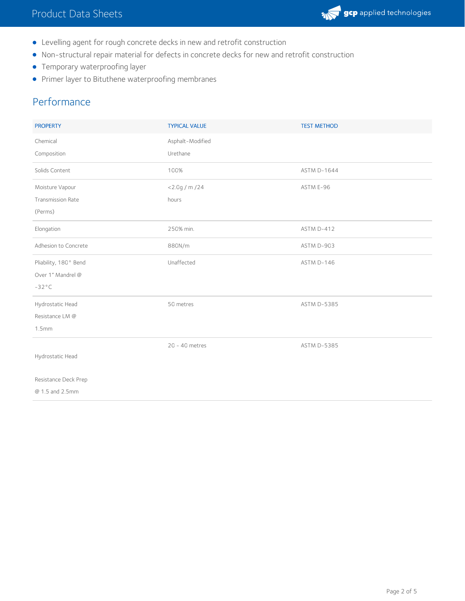

- Levelling agent for rough concrete decks in new and retrofit construction
- Non-structural repair material for defects in concrete decks for new and retrofit construction
- **•** Temporary waterproofing layer
- **•** Primer layer to Bituthene waterproofing membranes

## Performance

| <b>PROPERTY</b>          | <b>TYPICAL VALUE</b> | <b>TEST METHOD</b> |
|--------------------------|----------------------|--------------------|
| Chemical                 | Asphalt-Modified     |                    |
| Composition              | Urethane             |                    |
| Solids Content           | 100%                 | <b>ASTM D-1644</b> |
| Moisture Vapour          | $<$ 2.0g / m / 24    | ASTM E-96          |
| <b>Transmission Rate</b> | hours                |                    |
| (Perms)                  |                      |                    |
| Elongation               | 250% min.            | ASTM D-412         |
| Adhesion to Concrete     | 880N/m               | ASTM D-903         |
| Pliability, 180° Bend    | Unaffected           | ASTM D-146         |
| Over 1" Mandrel @        |                      |                    |
| $-32^{\circ}$ C          |                      |                    |
| Hydrostatic Head         | 50 metres            | <b>ASTM D-5385</b> |
| Resistance LM @          |                      |                    |
| 1.5 <sub>mm</sub>        |                      |                    |
|                          | 20 - 40 metres       | <b>ASTM D-5385</b> |
| Hydrostatic Head         |                      |                    |
| Resistance Deck Prep     |                      |                    |
| @ 1.5 and 2.5mm          |                      |                    |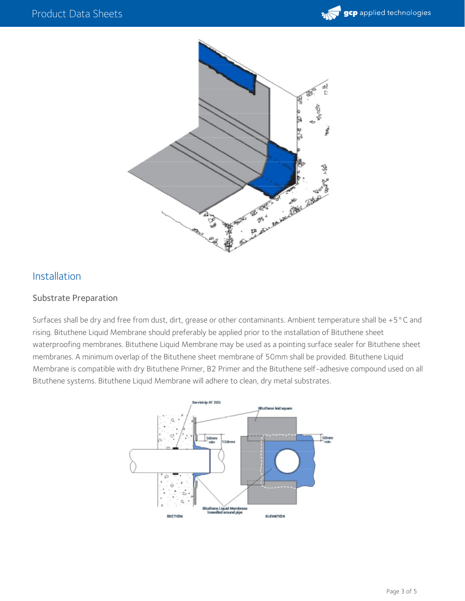



## Installation

#### Substrate Preparation

Surfaces shall be dry and free from dust, dirt, grease or other contaminants. Ambient temperature shall be +5°C and rising. Bituthene Liquid Membrane should preferably be applied prior to the installation of Bituthene sheet waterproofing membranes. Bituthene Liquid Membrane may be used as a pointing surface sealer for Bituthene sheet membranes. A minimum overlap of the Bituthene sheet membrane of 50mm shall be provided. Bituthene Liquid Membrane is compatible with dry Bituthene Primer, B2 Primer and the Bituthene self-adhesive compound used on all Bituthene systems. Bituthene Liquid Membrane will adhere to clean, dry metal substrates.

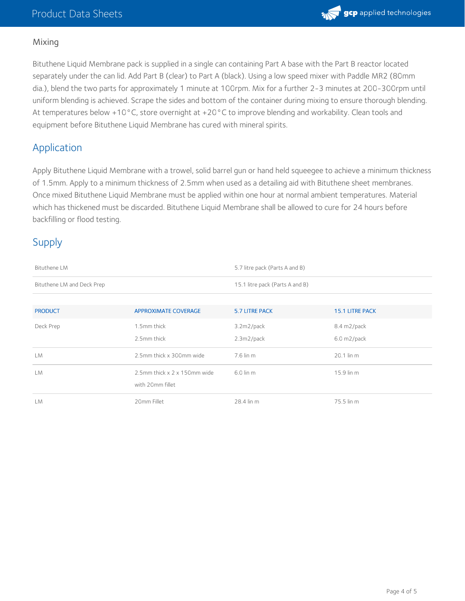

#### Mixing

Bituthene Liquid Membrane pack is supplied in a single can containing Part A base with the Part B reactor located separately under the can lid. Add Part B (clear) to Part A (black). Using a low speed mixer with Paddle MR2 (80mm dia.), blend the two parts for approximately 1 minute at 100rpm. Mix for a further 2-3 minutes at 200-300rpm until uniform blending is achieved. Scrape the sides and bottom of the container during mixing to ensure thorough blending. At temperatures below +10°C, store overnight at +20°C to improve blending and workability. Clean tools and equipment before Bituthene Liquid Membrane has cured with mineral spirits.

## Application

Apply Bituthene Liquid Membrane with a trowel, solid barrel gun or hand held squeegee to achieve a minimum thickness of 1.5mm. Apply to a minimum thickness of 2.5mm when used as a detailing aid with Bituthene sheet membranes. Once mixed Bituthene Liquid Membrane must be applied within one hour at normal ambient temperatures. Material which has thickened must be discarded. Bituthene Liquid Membrane shall be allowed to cure for 24 hours before backfilling or flood testing.

## Supply

| Bituthene LM               |                              | 5.7 litre pack (Parts A and B)  |                        |  |
|----------------------------|------------------------------|---------------------------------|------------------------|--|
| Bituthene LM and Deck Prep |                              | 15.1 litre pack (Parts A and B) |                        |  |
|                            |                              |                                 |                        |  |
| <b>PRODUCT</b>             | <b>APPROXIMATE COVERAGE</b>  | 5.7 LITRE PACK                  | <b>15.1 LITRE PACK</b> |  |
| Deck Prep                  | 1.5mm thick                  | 3.2m2/pack                      | 8.4 m2/pack            |  |
|                            | 2.5mm thick                  | $2.3m2$ /pack                   | $6.0 \text{ m2/pack}$  |  |
| LM                         | 2.5mm thick x 300mm wide     | $7.6$ lin m                     | 20.1 lin m             |  |
| LM                         | 2.5mm thick x 2 x 150mm wide | $6.0$ lin m                     | 15.9 lin m             |  |
|                            | with 20mm fillet             |                                 |                        |  |
| LM                         | 20mm Fillet                  | 28.4 lin m                      | 75.5 lin m             |  |